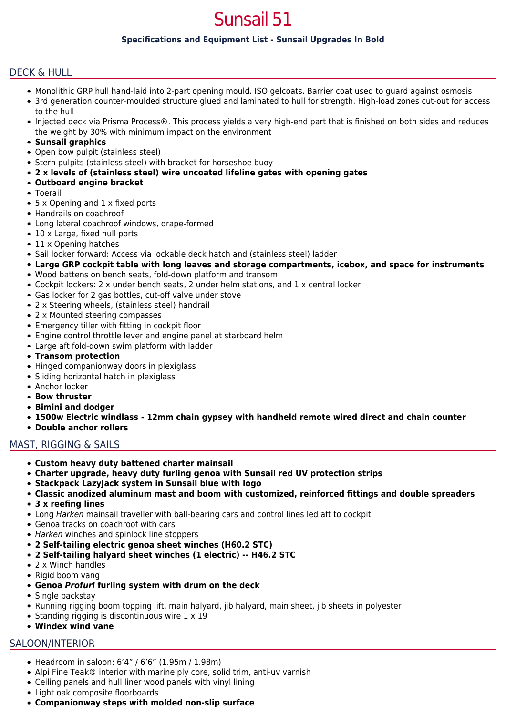# Sunsail 51

## **Specifications and Equipment List - Sunsail Upgrades In Bold**

## DECK & HULL

- Monolithic GRP hull hand-laid into 2-part opening mould. ISO gelcoats. Barrier coat used to guard against osmosis
- 3rd generation counter-moulded structure glued and laminated to hull for strength. High-load zones cut-out for access to the hull
- Injected deck via Prisma Process®. This process yields a very high-end part that is finished on both sides and reduces the weight by 30% with minimum impact on the environment
- **Sunsail graphics**
- Open bow pulpit (stainless steel)
- Stern pulpits (stainless steel) with bracket for horseshoe buoy
- **2 x levels of (stainless steel) wire uncoated lifeline gates with opening gates**
- **Outboard engine bracket**
- Toerail
- 5 x Opening and 1 x fixed ports
- Handrails on coachroof
- Long lateral coachroof windows, drape-formed
- 10 x Large, fixed hull ports
- 11 x Opening hatches
- Sail locker forward: Access via lockable deck hatch and (stainless steel) ladder
- **Large GRP cockpit table with long leaves and storage compartments, icebox, and space for instruments**
- Wood battens on bench seats, fold-down platform and transom
- Cockpit lockers: 2 x under bench seats, 2 under helm stations, and 1 x central locker
- Gas locker for 2 gas bottles, cut-off valve under stove
- 2 x Steering wheels, (stainless steel) handrail
- 2 x Mounted steering compasses
- Emergency tiller with fitting in cockpit floor
- Engine control throttle lever and engine panel at starboard helm
- Large aft fold-down swim platform with ladder
- **Transom protection**
- Hinged companionway doors in plexiglass
- Sliding horizontal hatch in plexiglass
- Anchor locker
- **Bow thruster**
- **Bimini and dodger**
- **1500w Electric windlass 12mm chain gypsey with handheld remote wired direct and chain counter**
- **Double anchor rollers**

## MAST, RIGGING & SAILS

- **Custom heavy duty battened charter mainsail**
- **Charter upgrade, heavy duty furling genoa with Sunsail red UV protection strips**
- **Stackpack LazyJack system in Sunsail blue with logo**
- **Classic anodized aluminum mast and boom with customized, reinforced fittings and double spreaders**
- **3 x reefing lines**
- Long Harken mainsail traveller with ball-bearing cars and control lines led aft to cockpit
- Genoa tracks on coachroof with cars
- Harken winches and spinlock line stoppers
- **2 Self-tailing electric genoa sheet winches (H60.2 STC)**
- **2 Self-tailing halyard sheet winches (1 electric) -- H46.2 STC**
- 2 x Winch handles
- Rigid boom vang
- **Genoa** *Profurl* **furling system with drum on the deck**
- Single backstay
- Running rigging boom topping lift, main halyard, jib halyard, main sheet, jib sheets in polyester
- Standing rigging is discontinuous wire  $1 \times 19$
- **Windex wind vane**

#### SALOON/INTERIOR

- Headroom in saloon: 6'4" / 6'6" (1.95m / 1.98m)
- Alpi Fine Teak® interior with marine ply core, solid trim, anti-uv varnish
- Ceiling panels and hull liner wood panels with vinyl lining
- Light oak composite floorboards
- **Companionway steps with molded non-slip surface**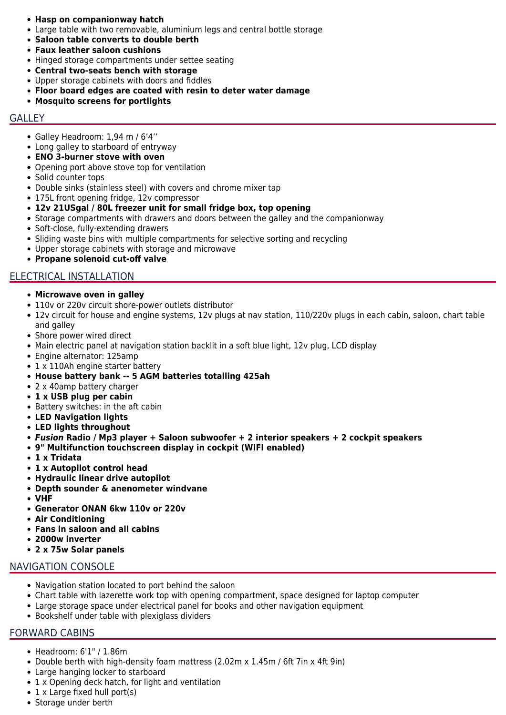- **Hasp on companionway hatch**
- Large table with two removable, aluminium legs and central bottle storage
- **Saloon table converts to double berth**
- **Faux leather saloon cushions**
- Hinged storage compartments under settee seating
- **Central two-seats bench with storage**
- Upper storage cabinets with doors and fiddles
- **Floor board edges are coated with resin to deter water damage**
- **Mosquito screens for portlights**

## **GALLEY**

- Galley Headroom: 1,94 m / 6'4''
- Long galley to starboard of entryway
- **ENO 3-burner stove with oven**
- Opening port above stove top for ventilation
- Solid counter tops
- Double sinks (stainless steel) with covers and chrome mixer tap
- 175L front opening fridge, 12v compressor
- **12v 21USgal / 80L freezer unit for small fridge box, top opening**
- Storage compartments with drawers and doors between the galley and the companionway
- Soft-close, fully-extending drawers
- Sliding waste bins with multiple compartments for selective sorting and recycling
- Upper storage cabinets with storage and microwave
- **Propane solenoid cut-off valve**

#### ELECTRICAL INSTALLATION

- **Microwave oven in galley**
- 110v or 220v circuit shore-power outlets distributor
- 12v circuit for house and engine systems, 12v plugs at nav station, 110/220v plugs in each cabin, saloon, chart table and galley
- Shore power wired direct
- Main electric panel at navigation station backlit in a soft blue light, 12v plug, LCD display
- Engine alternator: 125amp
- 1 x 110Ah engine starter battery
- **House battery bank -- 5 AGM batteries totalling 425ah**
- 2 x 40amp battery charger
- **1 x USB plug per cabin**
- Battery switches: in the aft cabin
- **LED Navigation lights**
- **LED lights throughout**
- *Fusion* **Radio / Mp3 player + Saloon subwoofer + 2 interior speakers + 2 cockpit speakers**
- **9" Multifunction touchscreen display in cockpit (WIFI enabled)**
- **1 x Tridata**
- **1 x Autopilot control head**
- **Hydraulic linear drive autopilot**
- **Depth sounder & anenometer windvane**
- **VHF**
- **Generator ONAN 6kw 110v or 220v**
- **Air Conditioning**
- **Fans in saloon and all cabins**
- **2000w inverter**
- **2 x 75w Solar panels**

#### NAVIGATION CONSOLE

- Navigation station located to port behind the saloon
- Chart table with lazerette work top with opening compartment, space designed for laptop computer
- Large storage space under electrical panel for books and other navigation equipment
- Bookshelf under table with plexiglass dividers

#### FORWARD CABINS

- Headroom: 6'1" / 1.86m
- Double berth with high-density foam mattress (2.02m x 1.45m / 6ft 7in x 4ft 9in)
- Large hanging locker to starboard
- 1 x Opening deck hatch, for light and ventilation
- $\bullet$  1 x Large fixed hull port(s)
- Storage under berth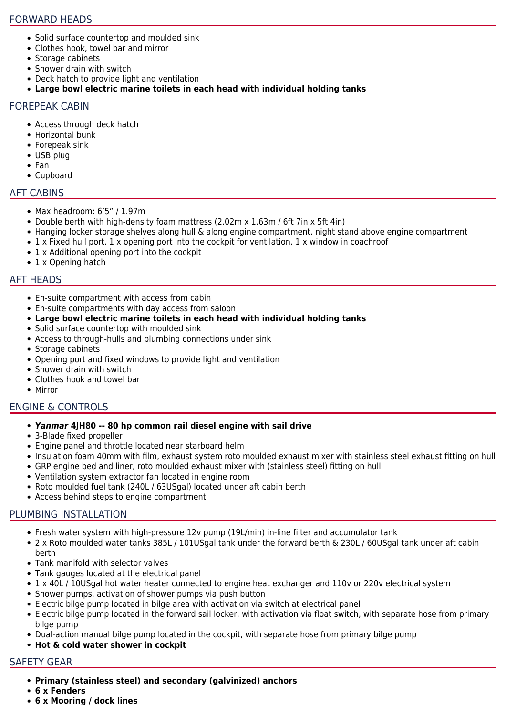## FORWARD HEADS

- Solid surface countertop and moulded sink
- Clothes hook, towel bar and mirror
- Storage cabinets
- Shower drain with switch
- Deck hatch to provide light and ventilation
- **Large bowl electric marine toilets in each head with individual holding tanks**

# FOREPEAK CABIN

- Access through deck hatch
- Horizontal bunk
- Forepeak sink
- USB plug
- Fan
- Cupboard

# AFT CABINS

- Max headroom: 6'5" / 1.97m
- Double berth with high-density foam mattress (2.02m x 1.63m / 6ft 7in x 5ft 4in)
- Hanging locker storage shelves along hull & along engine compartment, night stand above engine compartment
- 1 x Fixed hull port, 1 x opening port into the cockpit for ventilation, 1 x window in coachroof
- 1 x Additional opening port into the cockpit
- 1 x Opening hatch

# AFT HEADS

- En-suite compartment with access from cabin
- En-suite compartments with day access from saloon
- **Large bowl electric marine toilets in each head with individual holding tanks**
- Solid surface countertop with moulded sink
- Access to through-hulls and plumbing connections under sink
- Storage cabinets
- Opening port and fixed windows to provide light and ventilation
- Shower drain with switch
- Clothes hook and towel bar
- Mirror

# ENGINE & CONTROLS

# *Yanmar* **4JH80 -- 80 hp common rail diesel engine with sail drive**

- 3-Blade fixed propeller
- Engine panel and throttle located near starboard helm
- Insulation foam 40mm with film, exhaust system roto moulded exhaust mixer with stainless steel exhaust fitting on hull
- GRP engine bed and liner, roto moulded exhaust mixer with (stainless steel) fitting on hull
- Ventilation system extractor fan located in engine room
- Roto moulded fuel tank (240L / 63USgal) located under aft cabin berth
- Access behind steps to engine compartment

# PLUMBING INSTALLATION

- Fresh water system with high-pressure 12v pump (19L/min) in-line filter and accumulator tank
- 2 x Roto moulded water tanks 385L / 101USgal tank under the forward berth & 230L / 60USgal tank under aft cabin berth
- Tank manifold with selector valves
- Tank gauges located at the electrical panel
- 1 x 40L / 10USgal hot water heater connected to engine heat exchanger and 110v or 220v electrical system
- Shower pumps, activation of shower pumps via push button
- Electric bilge pump located in bilge area with activation via switch at electrical panel
- Electric bilge pump located in the forward sail locker, with activation via float switch, with separate hose from primary bilge pump
- Dual-action manual bilge pump located in the cockpit, with separate hose from primary bilge pump
- **Hot & cold water shower in cockpit**

# SAFETY GEAR

- **Primary (stainless steel) and secondary (galvinized) anchors**
- **6 x Fenders**
- **6 x Mooring / dock lines**